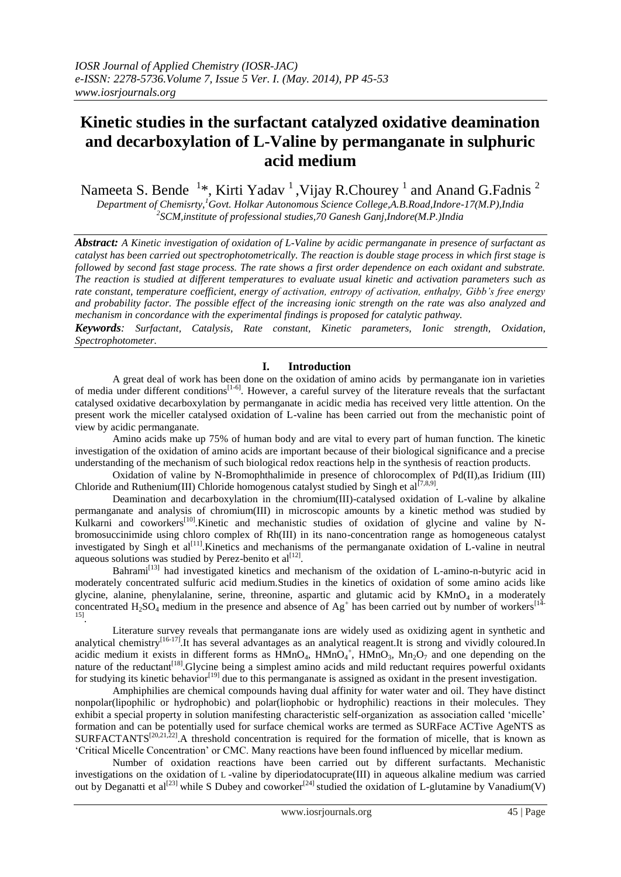# **Kinetic studies in the surfactant catalyzed oxidative deamination and decarboxylation of L-Valine by permanganate in sulphuric acid medium**

Nameeta S. Bende  $1*$ , Kirti Yadav  $^1$  , Vijay R.Chourey  $^1$  and Anand G.Fadnis  $^2$ 

*Department of Chemisrty,<sup>1</sup>Govt. Holkar Autonomous Science College,A.B.Road,Indore-17(M.P),India 2 SCM,institute of professional studies,70 Ganesh Ganj,Indore(M.P.)India*

*Abstract: A Kinetic investigation of oxidation of L-Valine by acidic permanganate in presence of surfactant as catalyst has been carried out spectrophotometrically. The reaction is double stage process in which first stage is followed by second fast stage process. The rate shows a first order dependence on each oxidant and substrate. The reaction is studied at different temperatures to evaluate usual kinetic and activation parameters such as rate constant, temperature coefficient, energy of activation, entropy of activation, enthalpy, Gibb's free energy and probability factor. The possible effect of the increasing ionic strength on the rate was also analyzed and mechanism in concordance with the experimental findings is proposed for catalytic pathway.*

*Keywords: Surfactant, Catalysis, Rate constant, Kinetic parameters, Ionic strength, Oxidation, Spectrophotometer.*

# **I. Introduction**

A great deal of work has been done on the oxidation of amino acids by permanganate ion in varieties of media under different conditions<sup>[1-6]</sup>. However, a careful survey of the literature reveals that the surfactant catalysed oxidative decarboxylation by permanganate in acidic media has received very little attention. On the present work the miceller catalysed oxidation of L-valine has been carried out from the mechanistic point of view by acidic permanganate.

Amino acids make up 75% of human body and are vital to every part of human function. The kinetic investigation of the oxidation of amino acids are important because of their biological significance and a precise understanding of the mechanism of such biological redox reactions help in the synthesis of reaction products.

Oxidation of valine by N-Bromophthalimide in presence of chlorocomplex of Pd(II),as Iridium (III) Chloride and Ruthenium(III) Chloride homogenous catalyst studied by Singh et al<sup>[7,8,9]</sup>.

Deamination and decarboxylation in the [chromium\(III\)-catalysed](http://www.springerlink.com/content/w272635904846626/) oxidation of L-valine by alkaline permanganate and analysis of [chromium\(III\)](http://www.springerlink.com/content/w272635904846626/) in microscopic amounts by a kinetic method was studied by Kulkarni and coworkers<sup>[10]</sup>. Kinetic and mechanistic studies of oxidation of glycine and valine by Nbromosuccinimide using chloro complex of Rh(III) in its nano-concentration range as homogeneous catalyst investigated by Singh et al<sup>[11]</sup>. Kinetics and mechanisms of the permanganate oxidation of L-valine in neutral aqueous solutions was studied by Perez-benito et  $al^{[12]}$ .

Bahrami<sup>[13]</sup> had investigated kinetics and mechanism of the oxidation of L-amino-n-butyric acid in moderately concentrated sulfuric acid medium.Studies in the kinetics of oxidation of some amino acids like glycine, alanine, phenylalanine, serine, threonine, aspartic and glutamic acid by  $KMnO<sub>4</sub>$  in a moderately concentrated  $H_2SO_4$  medium in the presence and absence of  $Ag^+$  has been carried out by number of workers<sup>[14-</sup> 15] .

Literature survey reveals that permanganate ions are widely used as oxidizing agent in synthetic and analytical chemistry<sup>[16-17]</sup>. It has several advantages as an analytical reagent. It is strong and vividly coloured. In acidic medium it exists in different forms as  $HMnO<sub>4</sub>$ ,  $HMnO<sub>4</sub>$ ,  $HMnO<sub>3</sub>$ ,  $Mn<sub>2</sub>O<sub>7</sub>$  and one depending on the nature of the reductant<sup>[18]</sup>. Glycine being a simplest amino acids and mild reductant requires powerful oxidants for studying its kinetic behavior<sup>[19]</sup> due to this permanganate is assigned as oxidant in the present investigation.

Amphiphilies are chemical compounds having dual affinity for water water and oil. They have distinct nonpolar(lipophilic or hydrophobic) and polar(liophobic or hydrophilic) reactions in their molecules. They exhibit a special property in solution manifesting characteristic self-organization as association called "micelle" formation and can be potentially used for surface chemical works are termed as SURFace ACTive AgeNTS as  $SURFACTANTS^{[20,21,22]}$ . A threshold concentration is required for the formation of micelle, that is known as "Critical Micelle Concentration" or CMC. Many reactions have been found influenced by micellar medium.

Number of oxidation reactions have been carried out by different surfactants. [Mechanistic](http://www.springerlink.com/content/856617417v70l455/)  investigations on the oxidation of L [-valine by diperiodatocuprate\(III\) in aqueous alkaline medium](http://www.springerlink.com/content/856617417v70l455/) was carried out by Deganatti et al<sup>[23]</sup> while S Dubey and coworker<sup>[24]</sup> studied the oxidation of L-glutamine by Vanadium(V)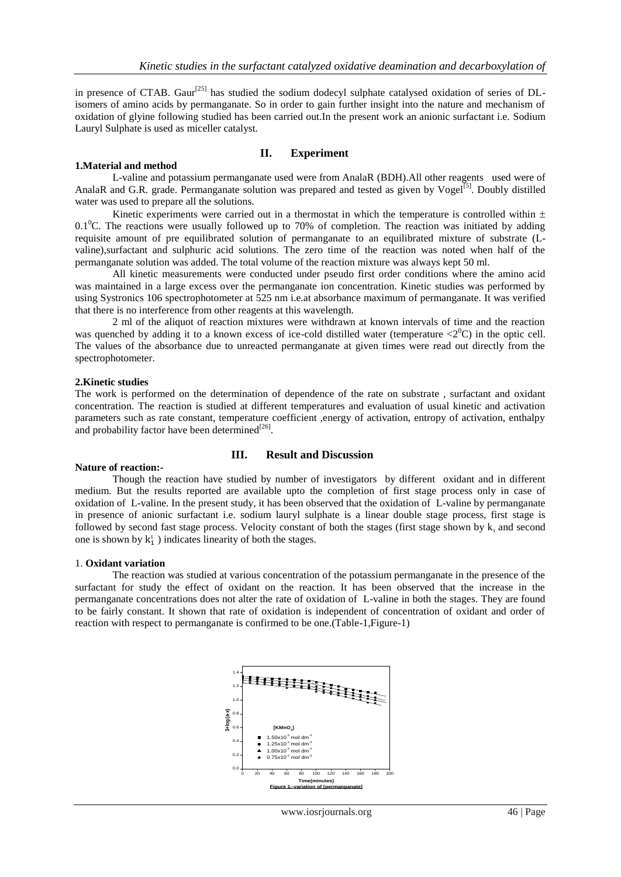in presence of CTAB. Gaur<sup>[25]</sup> has studied the sodium dodecyl sulphate catalysed oxidation of series of DLisomers of amino acids by permanganate. So in order to gain further insight into the nature and mechanism of oxidation of glyine following studied has been carried out.In the present work an anionic surfactant i.e. Sodium Lauryl Sulphate is used as miceller catalyst.

## **1.Material and method**

# **II. Experiment**

L-valine and potassium permanganate used were from AnalaR (BDH).All other reagents used were of AnalaR and G.R. grade. Permanganate solution was prepared and tested as given by Vogel<sup>[5]</sup>. Doubly distilled water was used to prepare all the solutions.

Kinetic experiments were carried out in a thermostat in which the temperature is controlled within  $\pm$ 0.1<sup>0</sup>C. The reactions were usually followed up to 70% of completion. The reaction was initiated by adding requisite amount of pre equilibrated solution of permanganate to an equilibrated mixture of substrate (Lvaline),surfactant and sulphuric acid solutions. The zero time of the reaction was noted when half of the permanganate solution was added. The total volume of the reaction mixture was always kept 50 ml.

All kinetic measurements were conducted under pseudo first order conditions where the amino acid was maintained in a large excess over the permanganate ion concentration. Kinetic studies was performed by using Systronics 106 spectrophotometer at 525 nm i.e.at absorbance maximum of permanganate. It was verified that there is no interference from other reagents at this wavelength.

2 ml of the aliquot of reaction mixtures were withdrawn at known intervals of time and the reaction was quenched by adding it to a known excess of ice-cold distilled water (temperature  $\langle 2^0C \rangle$ ) in the optic cell. The values of the absorbance due to unreacted permanganate at given times were read out directly from the spectrophotometer.

## **2.Kinetic studies**

The work is performed on the determination of dependence of the rate on substrate , surfactant and oxidant concentration. The reaction is studied at different temperatures and evaluation of usual kinetic and activation parameters such as rate constant, temperature coefficient ,energy of activation, entropy of activation, enthalpy and probability factor have been determined $^{[26]}$ .

## **III. Result and Discussion**

## **Nature of reaction:-**

Though the reaction have studied by number of investigators by different oxidant and in different medium. But the results reported are available upto the completion of first stage process only in case of oxidation of L-valine. In the present study, it has been observed that the oxidation of L-valine by permanganate in presence of anionic surfactant i.e. sodium lauryl sulphate is a linear double stage process, first stage is followed by second fast stage process. Velocity constant of both the stages (first stage shown by  $k_1$  and second one is shown by  $k_1^1$ ) indicates linearity of both the stages.

#### 1. **Oxidant variation**

The reaction was studied at various concentration of the potassium permanganate in the presence of the surfactant for study the effect of oxidant on the reaction. It has been observed that the increase in the permanganate concentrations does not alter the rate of oxidation of L-valine in both the stages. They are found to be fairly constant. It shown that rate of oxidation is independent of concentration of oxidant and order of reaction with respect to permanganate is confirmed to be one.(Table-1,Figure-1)

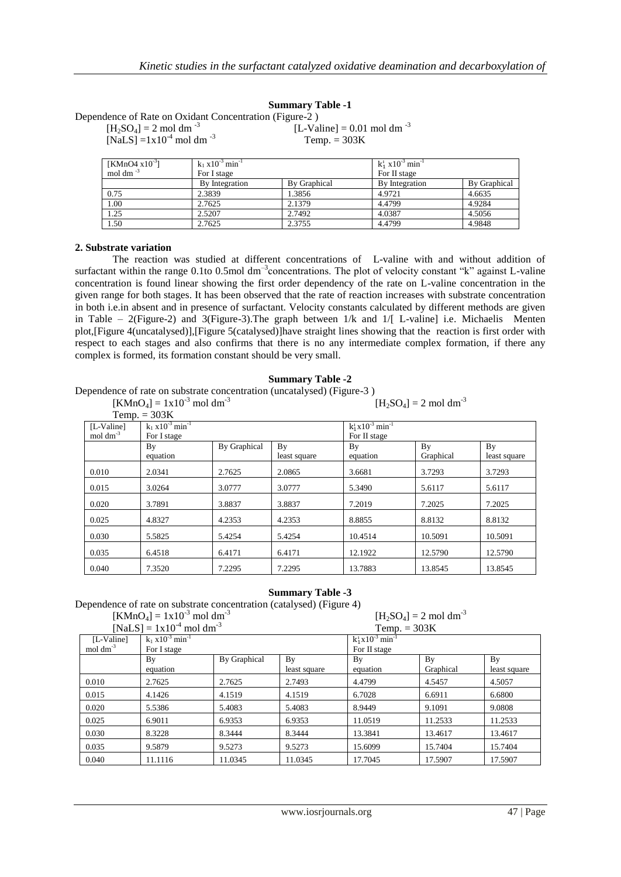|                                                        | <b>Summary Table -1</b>                |
|--------------------------------------------------------|----------------------------------------|
| Dependence of Rate on Oxidant Concentration (Figure-2) |                                        |
| $[H_2SO_4] = 2 \text{ mol dm}^{-3}$                    | [L-Valine] = 0.01 mol dm <sup>-3</sup> |
| [NaLS] = $1x10^{-4}$ mol dm <sup>-3</sup>              | Temp. $= 303K$                         |

| [KMnO4 $x10^{-3}$ ] | $k_1$ x 10 <sup>-3</sup> min <sup>-1</sup> |                     |                | $k_1^1$ x10 <sup>-3</sup> min <sup>-1</sup> |  |
|---------------------|--------------------------------------------|---------------------|----------------|---------------------------------------------|--|
| mol dm $^{-3}$      | For I stage                                |                     | For II stage   |                                             |  |
|                     | By Integration                             | <b>By Graphical</b> | By Integration | By Graphical                                |  |
| 0.75                | 2.3839                                     | 1.3856              | 4.9721         | 4.6635                                      |  |
| 1.00                | 2.7625                                     | 2.1379              | 4.4799         | 4.9284                                      |  |
| 1.25                | 2.5207                                     | 2.7492              | 4.0387         | 4.5056                                      |  |
| 1.50                | 2.7625                                     | 2.3755              | 4.4799         | 4.9848                                      |  |

## **2. Substrate variation**

The reaction was studied at different concentrations of L-valine with and without addition of surfactant within the range  $0.1$ to  $0.5$ mol dm<sup>-3</sup>concentrations. The plot of velocity constant "k" against L-valine concentration is found linear showing the first order dependency of the rate on L-valine concentration in the given range for both stages. It has been observed that the rate of reaction increases with substrate concentration in both i.e.in absent and in presence of surfactant. Velocity constants calculated by different methods are given in Table – 2(Figure-2) and 3(Figure-3). The graph between  $1/k$  and  $1/[$  L-valine] i.e. Michaelis Menten plot,[Figure 4(uncatalysed)],[Figure 5(catalysed)]have straight lines showing that the reaction is first order with respect to each stages and also confirms that there is no any intermediate complex formation, if there any complex is formed, its formation constant should be very small.

#### **Summary Table -2**

Dependence of rate on substrate concentration (uncatalysed) (Figure-3 )

 $[KMnO_4] = 1x10^{-3}$  mol dm<sup>-3</sup>

 $[H_2SO_4] = 2 \text{ mol dm}^{-3}$ 

|                         | Temp. $= 303K$                    |              |              |                                     |           |              |
|-------------------------|-----------------------------------|--------------|--------------|-------------------------------------|-----------|--------------|
| [L-Valine]              | $k_1 x 10^{-3}$ min <sup>-1</sup> |              |              | $k_1^1 x 10^{-3}$ min <sup>-1</sup> |           |              |
| $mol \, \text{dm}^{-3}$ | For I stage                       |              |              | For II stage                        |           |              |
|                         | By                                | By Graphical | By           | By                                  | By        | By           |
|                         | equation                          |              | least square | equation                            | Graphical | least square |
| 0.010                   | 2.0341                            | 2.7625       | 2.0865       | 3.6681                              | 3.7293    | 3.7293       |
| 0.015                   | 3.0264                            | 3.0777       | 3.0777       | 5.3490                              | 5.6117    | 5.6117       |
| 0.020                   | 3.7891                            | 3.8837       | 3.8837       | 7.2019                              | 7.2025    | 7.2025       |
| 0.025                   | 4.8327                            | 4.2353       | 4.2353       | 8.8855                              | 8.8132    | 8.8132       |
| 0.030                   | 5.5825                            | 5.4254       | 5.4254       | 10.4514                             | 10.5091   | 10.5091      |
| 0.035                   | 6.4518                            | 6.4171       | 6.4171       | 12.1922                             | 12.5790   | 12.5790      |
| 0.040                   | 7.3520                            | 7.2295       | 7.2295       | 13.7883                             | 13.8545   | 13.8545      |

## **Summary Table -3**

Dependence of rate on substrate concentration (catalysed) (Figure 4)  $\sum_{i=1}^n$ 

|                         | $[KMnO4] = 1x10-3$ mol dm <sup>-3</sup>    |              |                    |                                     | $[H_2SO_4] = 2 \text{ mol dm}^{-3}$ |                    |
|-------------------------|--------------------------------------------|--------------|--------------------|-------------------------------------|-------------------------------------|--------------------|
|                         | [NaLS] = $1x10^{-4}$ mol dm <sup>-3</sup>  |              |                    | Temp. $= 303K$                      |                                     |                    |
| [L-Valine]              | $k_1$ x 10 <sup>-3</sup> min <sup>-1</sup> |              |                    | $k_1^1 x 10^{-3}$ min <sup>-1</sup> |                                     |                    |
| $mol \, \text{dm}^{-3}$ | For I stage                                |              |                    | For II stage                        |                                     |                    |
|                         | By<br>equation                             | By Graphical | By<br>least square | By<br>equation                      | By<br>Graphical                     | By<br>least square |
| 0.010                   | 2.7625                                     | 2.7625       | 2.7493             | 4.4799                              | 4.5457                              | 4.5057             |
| 0.015                   | 4.1426                                     | 4.1519       | 4.1519             | 6.7028                              | 6.6911                              | 6.6800             |
| 0.020                   | 5.5386                                     | 5.4083       | 5.4083             | 8.9449                              | 9.1091                              | 9.0808             |
| 0.025                   | 6.9011                                     | 6.9353       | 6.9353             | 11.0519                             | 11.2533                             | 11.2533            |
| 0.030                   | 8.3228                                     | 8.3444       | 8.3444             | 13.3841                             | 13.4617                             | 13.4617            |
| 0.035                   | 9.5879                                     | 9.5273       | 9.5273             | 15.6099                             | 15.7404                             | 15.7404            |
| 0.040                   | 11.1116                                    | 11.0345      | 11.0345            | 17.7045                             | 17.5907                             | 17.5907            |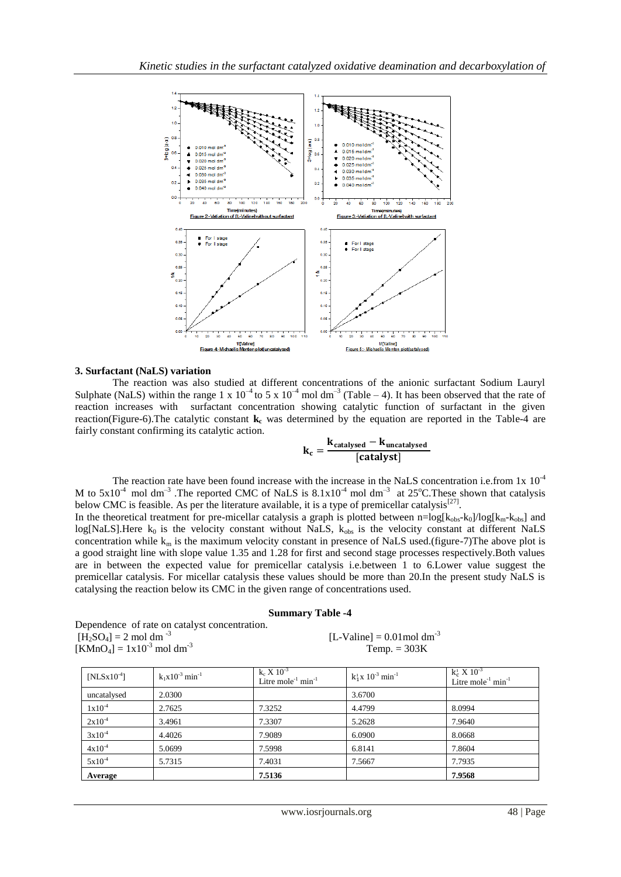

#### **3. Surfactant (NaLS) variation**

The reaction was also studied at different concentrations of the anionic surfactant Sodium Lauryl Sulphate (NaLS) within the range 1 x  $10^{-4}$  to 5 x  $10^{-4}$  mol dm<sup>-3</sup> (Table – 4). It has been observed that the rate of reaction increases with surfactant concentration showing catalytic function of surfactant in the given reaction(Figure-6).The catalytic constant **k<sup>c</sup>** was determined by the equation are reported in the Table-4 are fairly constant confirming its catalytic action.

$$
k_c = \frac{k_{catalysed} - k_{uncatalysed}}{[catalyst]}
$$

The reaction rate have been found increase with the increase in the NaLS concentration i.e.from 1x  $10^{-4}$ M to  $5x10^{-4}$  mol dm<sup>-3</sup>. The reported CMC of NaLS is  $8.1x10^{-4}$  mol dm<sup>-3</sup> at 25°C. These shown that catalysis below CMC is feasible. As per the literature available, it is a type of premicellar catalysis<sup>[27]</sup>.

In the theoretical treatment for pre-micellar catalysis a graph is plotted between  $n=\log[k_{obs}-k_0]/\log[k_{m}-k_{obs}]$  and log[NaLS].Here  $k_0$  is the velocity constant without NaLS,  $k_{obs}$  is the velocity constant at different NaLS concentration while  $k_m$  is the maximum velocity constant in presence of NaLS used.(figure-7)The above plot is a good straight line with slope value 1.35 and 1.28 for first and second stage processes respectively.Both values are in between the expected value for premicellar catalysis i.e.between 1 to 6.Lower value suggest the premicellar catalysis. For micellar catalysis these values should be more than 20.In the present study NaLS is catalysing the reaction below its CMC in the given range of concentrations used.

#### **Summary Table -4**

Dependence of rate on catalyst concentration.  $[\vec{H_2}SO_4] = 2 \text{ mol dm}^{-3}$  $[KMnO<sub>4</sub>] = 1x10<sup>-3</sup>$  mol dm<sup>-3</sup>

 $[L-Valine] = 0.01$  mol dm<sup>-3</sup>  $Temp. = 303K$ 

| $[NLSx10^{-4}]$ | $k_1x10^{-3}$ min <sup>-1</sup> | $k_c X 10^{-3}$<br>Litre mole $^{-1}$ min $^{-1}$ | $k_1^1 x 10^{-3}$ min <sup>-1</sup> | $k_c^1 X 10^{-3}$<br>Litre mole $1$ min $1$ |
|-----------------|---------------------------------|---------------------------------------------------|-------------------------------------|---------------------------------------------|
| uncatalysed     | 2.0300                          |                                                   | 3.6700                              |                                             |
| $1x10^{-4}$     | 2.7625                          | 7.3252                                            | 4.4799                              | 8.0994                                      |
| $2x10^{-4}$     | 3.4961                          | 7.3307                                            | 5.2628                              | 7.9640                                      |
| $3x10^{-4}$     | 4.4026                          | 7.9089                                            | 6.0900                              | 8.0668                                      |
| $4x10^{-4}$     | 5.0699                          | 7.5998                                            | 6.8141                              | 7.8604                                      |
| $5x10^{-4}$     | 5.7315                          | 7.4031                                            | 7.5667                              | 7.7935                                      |
| Average         |                                 | 7.5136                                            |                                     | 7.9568                                      |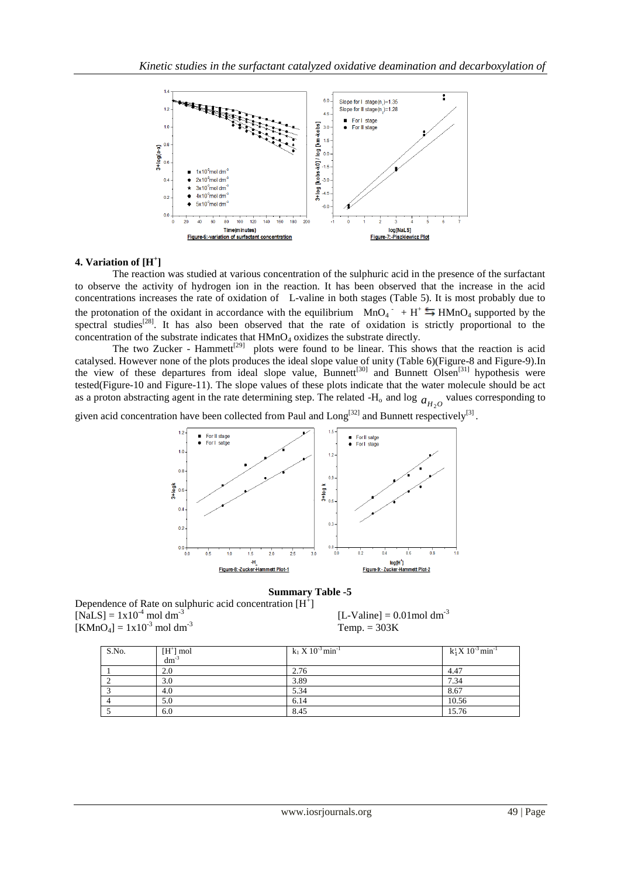

## **4. Variation of [H<sup>+</sup> ]**

The reaction was studied at various concentration of the sulphuric acid in the presence of the surfactant to observe the activity of hydrogen ion in the reaction. It has been observed that the increase in the acid concentrations increases the rate of oxidation of L-valine in both stages (Table 5). It is most probably due to the protonation of the oxidant in accordance with the equilibrium  $MnO_4$ <sup>-</sup> + H<sup>+</sup>  $\stackrel{\leftarrow}{\rightarrow}$  HMnO<sub>4</sub> supported by the spectral studies<sup>[28]</sup>. It has also been observed that the rate of oxidation is strictly proportional to the concentration of the substrate indicates that  $HMnO<sub>4</sub>$  oxidizes the substrate directly.

The two Zucker - Hammett<sup>[29]</sup> plots were found to be linear. This shows that the reaction is acid catalysed. However none of the plots produces the ideal slope value of unity (Table 6)(Figure-8 and Figure-9).In the view of these departures from ideal slope value, Bunnett<sup>[30]</sup> and Bunnett Olsen<sup>[31]</sup> hypothesis were tested(Figure-10 and Figure-11). The slope values of these plots indicate that the water molecule should be act as a proton abstracting agent in the rate determining step. The related  $-H_0$  and log  $a_{H_2O}$  values corresponding to

given acid concentration have been collected from Paul and  $\text{Long}^{[32]}$  and Bunnett respectively<sup>[3]</sup>.



#### **Summary Table -5**

Dependence of Rate on sulphuric acid concentration  $[H^+]$  $[NaLS] = 1x10^{-4}$  mol dm<sup>-3</sup>  $[KMnO<sub>4</sub>] = 1x10<sup>-3</sup>$  mol dm<sup>-3</sup> Temp. = 303K

 $[L-Valine] = 0.01$ mol dm<sup>-3</sup>

| S.No. | $[H^+]$ mol<br>dm <sup>-3</sup> | $k_1 X 10^{-3}$ min <sup>-1</sup> | $k_1^1 X 10^{-3}$ min <sup>-1</sup> |
|-------|---------------------------------|-----------------------------------|-------------------------------------|
|       |                                 |                                   |                                     |
|       | 2.0                             | 2.76                              | 4.47                                |
|       | 3.0                             | 3.89                              | 7.34                                |
|       | 4.0                             | 5.34                              | 8.67                                |
|       | 5.0                             | 6.14                              | 10.56                               |
|       | 6.0                             | 8.45                              | 15.76                               |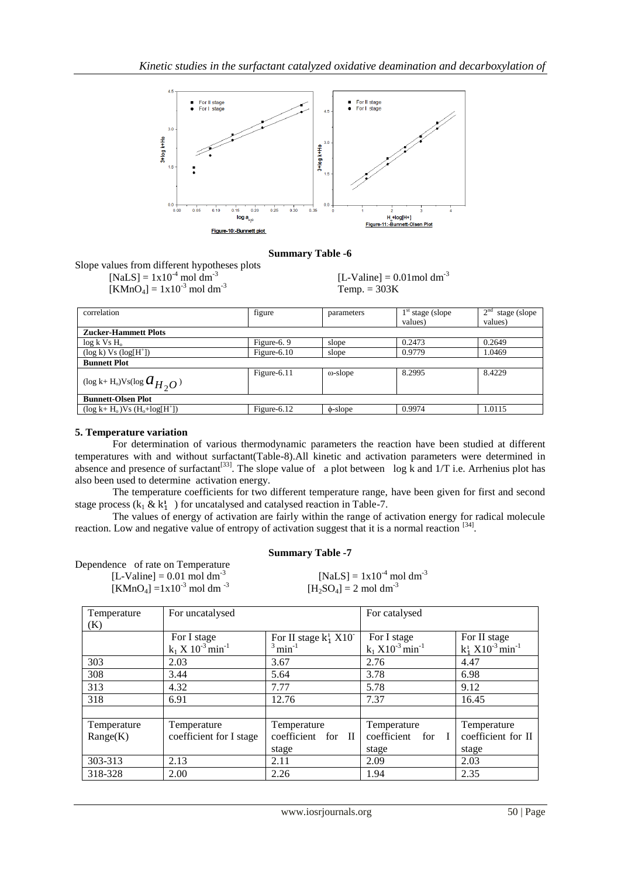

## **Summary Table -6**

Slope values from different hypotheses plots

 $[NaLS] = 1x10^{-4}$  mol dm<sup>-3</sup>  $[KMnO_4] = 1x10^{-3}$  mol dm<sup>-3</sup> Temp. = 303K

 $[L-Valine] = 0.01$ mol dm<sup>-3</sup>

| correlation                                 | figure         | parameters      | $1st$ stage (slope) | 2 <sup>nd</sup><br>stage (slope) |
|---------------------------------------------|----------------|-----------------|---------------------|----------------------------------|
|                                             |                |                 | values)             | values)                          |
| <b>Zucker-Hammett Plots</b>                 |                |                 |                     |                                  |
| $log k$ Vs $H_0$                            | Figure-6. $9$  | slope           | 0.2473              | 0.2649                           |
| $(\log k)$ Vs $(\log[H^+])$                 | Figure- $6.10$ | slope           | 0.9779              | 1.0469                           |
| <b>Bunnett Plot</b>                         |                |                 |                     |                                  |
| (log k+ H <sub>0</sub> )Vs(log $a_{H_2O}$ ) | Figure-6.11    | $\omega$ -slope | 8.2995              | 8.4229                           |
| <b>Bunnett-Olsen Plot</b>                   |                |                 |                     |                                  |
| $(\log k + H_0)Vs(H_0 + log[H^+])$          | Figure- $6.12$ | $\phi$ -slope   | 0.9974              | 1.0115                           |

## **5. Temperature variation**

For determination of various thermodynamic parameters the reaction have been studied at different temperatures with and without surfactant(Table-8).All kinetic and activation parameters were determined in absence and presence of surfactant<sup>[33]</sup>. The slope value of a plot between log k and  $1/T$  i.e. Arrhenius plot has also been used to determine activation energy.

The temperature coefficients for two different temperature range, have been given for first and second stage process  $(k_1 \& k_1)$  for uncatalysed and catalysed reaction in Table-7.

The values of energy of activation are fairly within the range of activation energy for radical molecule reaction. Low and negative value of entropy of activation suggest that it is a normal reaction [34].

## **Summary Table -7**

| Dependence of rate on Temperature                             |                                           |
|---------------------------------------------------------------|-------------------------------------------|
| [L-Valine] = $0.01$ mol dm <sup>-3</sup>                      | $[NaLS] = 1x10^{-4}$ mol dm <sup>-3</sup> |
| [KMnO <sub>4</sub> ] =1x10 <sup>-3</sup> mol dm <sup>-3</sup> | $[H_2SO_4] = 2 \text{ mol dm}^{-3}$       |

| Temperature | For uncatalysed                                  |                                                          | For catalysed                                     |                                                      |
|-------------|--------------------------------------------------|----------------------------------------------------------|---------------------------------------------------|------------------------------------------------------|
| (K)         | For I stage<br>$k_1 X 10^{-3}$ min <sup>-1</sup> | For II stage $k_1^1$ X10 <sup>-3</sup> min <sup>-1</sup> | For I stage<br>$k_1$ $X10^{-3}$ min <sup>-1</sup> | For II stage<br>$k_1^1$ $X10^{-3}$ min <sup>-1</sup> |
| 303         | 2.03                                             | 3.67                                                     | 2.76                                              | 4.47                                                 |
| 308         | 3.44                                             | 5.64                                                     | 3.78                                              | 6.98                                                 |
| 313         | 4.32                                             | 7.77                                                     | 5.78                                              | 9.12                                                 |
| 318         | 6.91                                             | 12.76                                                    | 7.37                                              | 16.45                                                |
|             |                                                  |                                                          |                                                   |                                                      |
| Temperature | Temperature                                      | Temperature                                              | Temperature                                       | Temperature                                          |
| Range(K)    | coefficient for I stage                          | coefficient for II                                       | coefficient for I                                 | coefficient for II                                   |
|             |                                                  | stage                                                    | stage                                             | stage                                                |
| 303-313     | 2.13                                             | 2.11                                                     | 2.09                                              | 2.03                                                 |
| 318-328     | 2.00                                             | 2.26                                                     | 1.94                                              | 2.35                                                 |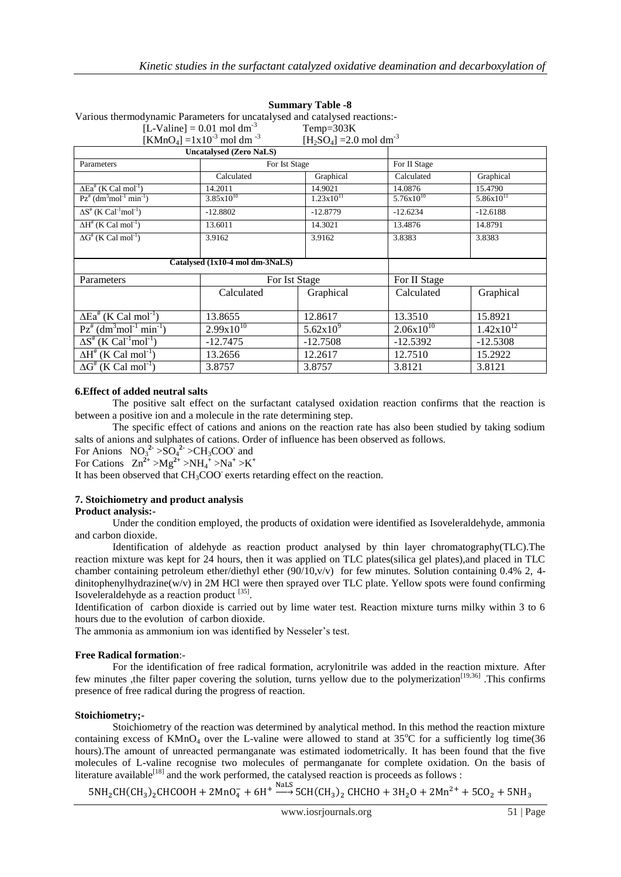| various thermouvilating a annexers for uncatarysed and catarysed reactions.- |                                                         |                                        |                |                |
|------------------------------------------------------------------------------|---------------------------------------------------------|----------------------------------------|----------------|----------------|
| [L-Valine] = $0.01$ mol dm <sup>-3</sup>                                     |                                                         | Temp= $303K$                           |                |                |
|                                                                              | [KMnO <sub>4</sub> ] = $1x10^{-3}$ mol dm <sup>-3</sup> | $[H_2SO_4] = 2.0$ mol dm <sup>-3</sup> |                |                |
|                                                                              | <b>Uncatalysed (Zero NaLS)</b>                          |                                        |                |                |
| Parameters                                                                   |                                                         | For Ist Stage                          | For II Stage   |                |
|                                                                              | Calculated                                              | Graphical                              | Calculated     | Graphical      |
| $\Delta$ Ea <sup>#</sup> (K Cal mol <sup>-1</sup> )                          | 14.2011                                                 | 14.9021                                | 14.0876        | 15.4790        |
| $Pz^{\#}$ (dm <sup>3</sup> mol <sup>-1</sup> min <sup>-1</sup> )             | $3.85x10^{10}$                                          | $1.23x10$ <sup>II</sup>                | $5.76x10^{10}$ | $5.86x10^{11}$ |
| $\Delta S^*$ (K Cal <sup>-1</sup> mol <sup>-1</sup> )                        | $-12.8802$                                              | $-12.8779$                             | $-12.6234$     | $-12.6188$     |
| $\Delta H^*$ (K Cal mol <sup>-1</sup> )                                      | 13.6011                                                 | 14.3021                                | 13.4876        | 14.8791        |
| $\Delta G^{\#}(K \text{ Cal mol}^{-1})$                                      | 3.9162                                                  | 3.9162                                 | 3.8383         | 3.8383         |
|                                                                              |                                                         |                                        |                |                |
|                                                                              | Catalysed (1x10-4 mol dm-3NaLS)                         |                                        |                |                |
| Parameters                                                                   |                                                         | For Ist Stage                          | For II Stage   |                |
|                                                                              | Calculated                                              | Graphical                              | Calculated     | Graphical      |
|                                                                              |                                                         |                                        |                |                |
| $\Delta$ Ea <sup>#</sup> (K Cal mol <sup>-1</sup> )                          | 13.8655                                                 | 12.8617                                | 13.3510        | 15.8921        |
| $Pz^{\#}$ (dm <sup>3</sup> mol <sup>-1</sup> min <sup>-1</sup> )             | $2.99x10^{10}$                                          | $5.62x10^{9}$                          | $2.06x10^{10}$ | $1.42x10^{12}$ |
| $\Delta S^{\#}$ (K Cal <sup>-1</sup> mol <sup>-1</sup> )                     | $-12.7475$                                              | $-12.7508$                             | $-12.5392$     | $-12.5308$     |
| $\Delta H^*$ (K Cal mol <sup>-1</sup> )                                      | 13.2656                                                 | 12.2617                                | 12.7510        | 15.2922        |
| $\Delta G^{\#}(K \text{ Cal mol}^{-1})$                                      | 3.8757                                                  | 3.8757                                 | 3.8121         | 3.8121         |

## **Summary Table -8**

Various thermodynamic Parameters for uncatalysed and catalysed reactions:-

## **6.Effect of added neutral salts**

The positive salt effect on the surfactant catalysed oxidation reaction confirms that the reaction is between a positive ion and a molecule in the rate determining step.

The specific effect of cations and anions on the reaction rate has also been studied by taking sodium salts of anions and sulphates of cations. Order of influence has been observed as follows.

For Anions  $NO_3^2 > SO_4^2 > CH_3COO$  and

For Cations  $Zn^{2+} > Mg^{2+} > NH_4^+ > Na^+ > K^+$ 

It has been observed that CH<sub>3</sub>COO exerts retarding effect on the reaction.

# **7. Stoichiometry and product analysis**

## **Product analysis:-**

Under the condition employed, the products of oxidation were identified as Isoveleraldehyde, ammonia and carbon dioxide.

Identification of aldehyde as reaction product analysed by thin layer chromatography(TLC).The reaction mixture was kept for 24 hours, then it was applied on TLC plates(silica gel plates),and placed in TLC chamber containing petroleum ether/diethyl ether (90/10,v/v) for few minutes. Solution containing 0.4% 2, 4dinitophenylhydrazine(w/v) in 2M HCl were then sprayed over TLC plate. Yellow spots were found confirming Isoveleraldehyde as a reaction product [35].

Identification of carbon dioxide is carried out by lime water test. Reaction mixture turns milky within 3 to 6 hours due to the evolution of carbon dioxide.

The ammonia as ammonium ion was identified by Nesseler's test.

## **Free Radical formation**:-

For the identification of free radical formation, acrylonitrile was added in the reaction mixture. After few minutes , the filter paper covering the solution, turns yellow due to the polymerization<sup>[19,36]</sup>. This confirms presence of free radical during the progress of reaction.

## **Stoichiometry;-**

Stoichiometry of the reaction was determined by analytical method. In this method the reaction mixture containing excess of  $KMnO_4$  over the L-valine were allowed to stand at 35°C for a sufficiently log time(36 hours).The amount of unreacted permanganate was estimated iodometrically. It has been found that the five molecules of L-valine recognise two molecules of permanganate for complete oxidation. On the basis of literature available<sup>[18]</sup> and the work performed, the catalysed reaction is proceeds as follows :

 $5NH_2CH(CH_3)_2CHCOOH + 2MnO_4^- + 6H^+ \stackrel{\rm Nal.S}{\longrightarrow} 5CH(CH_3)_2$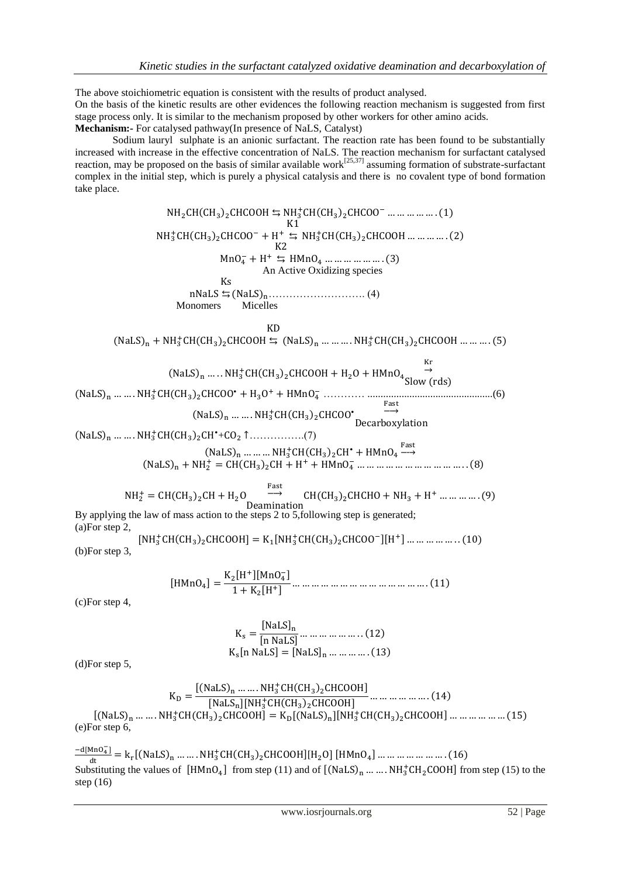The above stoichiometric equation is consistent with the results of product analysed. On the basis of the kinetic results are other evidences the following reaction mechanism is suggested from first stage process only. It is similar to the mechanism proposed by other workers for other amino acids. **Mechanism:-** For catalysed pathway(In presence of NaLS, Catalyst)

Sodium lauryl sulphate is an anionic surfactant. The reaction rate has been found to be substantially increased with increase in the effective concentration of NaLS. The reaction mechanism for surfactant catalysed reaction, may be proposed on the basis of similar available work<sup>[25,37]</sup> assuming formation of substrate-surfactant complex in the initial step, which is purely a physical catalysis and there is no covalent type of bond formation take place.

 $NH<sub>2</sub>CH(CH<sub>3</sub>)<sub>2</sub>CHCOOH \rightrightarrows NH<sub>3</sub><sup>+</sup>CH(C)$  $)_{2}$ CHCOOH  $\leftrightarrows$  NH<sup>+</sup><sub>3</sub>CH(CH<sub>3</sub>)<sub>2</sub>CHCOO<sup>-</sup> ... ... ... ... ... (1) K<br>NH<sup>+</sup>CH(CH<sub>3</sub>)<sub>2</sub>CHCOO<sup>-</sup> + H<sup>+</sup> ±  $\leq$  NH<sub>3</sub><sup>+</sup>CH(CH<sub>3</sub>)<sub>2</sub>CHCOOH ... ... ... ... (2)  $MnO_4^- + H^+ \leq HMnO_4 \dots \dots \dots \dots \dots \dots (3)$ K An Active Oxidizing species ( ) ………………………. (4)  $K<sub>S</sub>$  Monomers Micelles  $(NaLS)_n + NH_3^+CH(CH_3)_2CHCOOH \rightrightarrows (NaLS)_n \dots \dots \dots NH_3^+CH(CH_3)_2CHCOOH \dots \dots \dots (5)$  $K<sub>D</sub>$  $(NaLS)<sub>n</sub>$  ....  $NH<sub>3</sub><sup>+</sup>CH(CH<sub>3</sub>)<sub>2</sub>$  $\stackrel{\text{Kr}}{\rightarrow}$ Slow (rds) ( ) ( ) ………… ................................................(6)  $(NaLS)_n$  ... ...  $NH_3^+CH(CH_3)_2CHCOO$ <sup>\*</sup> D ( ) ( ) + …………….(7)  $(NaLS)_n$  ... ... ...  $NH_3^+CH(CH_3)_2CH^* + H MnO_4 \stackrel{Fa}{-}$ ( ) ( ) ( )  $NH_2^+ = CH(CH_3)_2CH + H_2O_2$  Fa D  $CH(CH_3)_2CHCHO + NH_3 + H^+ \dots \dots \dots \dots (9)$ 

By applying the law of mass action to the steps 2 to 5,following step is generated; (a)For step 2,

 ${\rm [NH_3^+CH(CH_3)_2CHCOOH]} = {\rm K}_1{\rm [NH_3^+CH(CH_3)_2CHCOO^-][H^+]}$  ... ... ... ... ... (10) (b)For step 3,

 ( )

(c)For step 4,

$$
K_{s} = \frac{[NaLS]_{n}}{[n NaLS]} \dots \dots \dots \dots \dots (12)
$$
  
K<sub>s</sub>[n NaLS] = [NaLS]\_{n} \dots \dots \dots (13)

(d)For step 5,

$$
K_{D} = \frac{[(NaLS)_{n} \dots NH_{3}^{+}CH(CH_{3})_{2}CHCOOH]}{[NaLS_{n}][NH_{3}^{+}CH(CH_{3})_{2}CHCOOH]} \dots \dots \dots \dots \dots \dots (14)
$$
  
\n
$$
[(NaLS)_{n} \dots NH_{3}^{+}CH(CH_{3})_{2}CHCOOH] = K_{D}[(NaLS)_{n}][NH_{3}^{+}CH(CH_{3})_{2}CHCOOH] \dots \dots \dots \dots \dots (15)
$$
  
\n
$$
(e) For step 6,
$$

 $-d[MnO<sub>4</sub>$  $\frac{\text{MnO}_4}{\text{dt}} = k_r [(NaLS)_n ... ... NH_3^+ CH(CH_3)_2 CHCOOH][H_2O] [HMnO_4] ... ... ... ... ... ... (16)]$ Substituting the values of  $[HMnO_4]$  from step (11) and of  $[(NaLS)_n \dots NH_3^+CH_2COOH]$  from step (15) to the step (16)